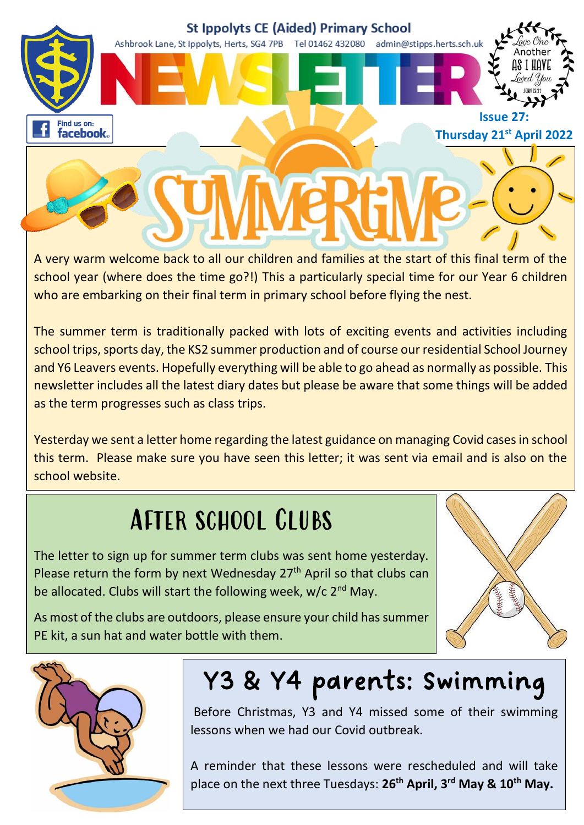

A very warm welcome back to all our children and families at the start of this final term of the school year (where does the time go?!) This a particularly special time for our Year 6 children who are embarking on their final term in primary school before flying the nest.

The summer term is traditionally packed with lots of exciting events and activities including school trips, sports day, the KS2 summer production and of course our residential School Journey and Y6 Leavers events. Hopefully everything will be able to go ahead as normally as possible. This newsletter includes all the latest diary dates but please be aware that some things will be added as the term progresses such as class trips.

Yesterday we sent a letter home regarding the latest guidance on managing Covid cases in school this term. Please make sure you have seen this letter; it was sent via email and is also on the school website.

### After school Clubs

The letter to sign up for summer term clubs was sent home yesterday. Please return the form by next Wednesday 27<sup>th</sup> April so that clubs can be allocated. Clubs will start the following week,  $w/c$   $2<sup>nd</sup>$  May.

As most of the clubs are outdoors, please ensure your child has summer PE kit, a sun hat and water bottle with them.





## Y3 & Y4 parents: Swimming

Before Christmas, Y3 and Y4 missed some of their swimming lessons when we had our Covid outbreak.

A reminder that these lessons were rescheduled and will take place on the next three Tuesdays: **26th April, 3rd May & 10th May.**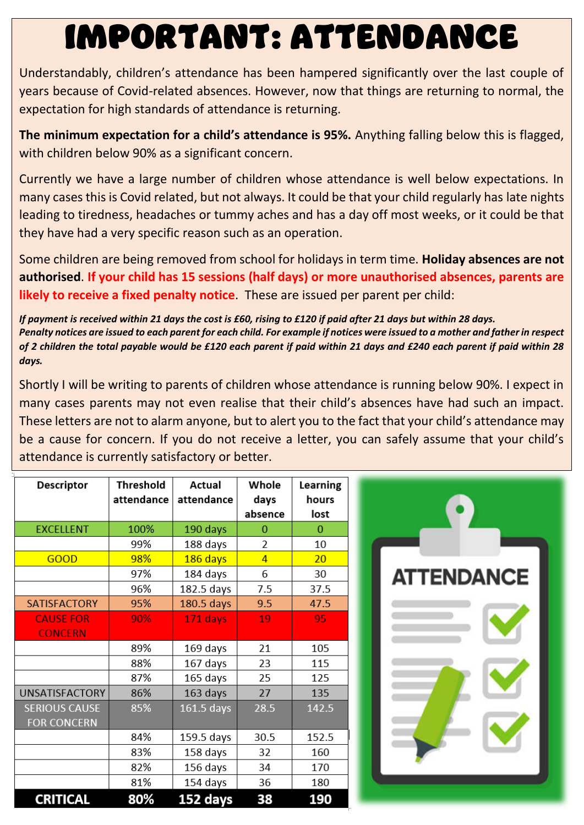# IMPORTANT: ATTENDANCE

Understandably, children's attendance has been hampered significantly over the last couple of years because of Covid-related absences. However, now that things are returning to normal, the expectation for high standards of attendance is returning.

**The minimum expectation for a child's attendance is 95%.** Anything falling below this is flagged, with children below 90% as a significant concern.

Currently we have a large number of children whose attendance is well below expectations. In many cases this is Covid related, but not always. It could be that your child regularly has late nights leading to tiredness, headaches or tummy aches and has a day off most weeks, or it could be that they have had a very specific reason such as an operation.

Some children are being removed from school for holidays in term time. **Holiday absences are not authorised**. **If your child has 15 sessions (half days) or more unauthorised absences, parents are likely to receive a fixed penalty notice**. These are issued per parent per child:

*If payment is received within 21 days the cost is £60, rising to £120 if paid after 21 days but within 28 days. Penalty notices are issued to each parent for each child. For example if notices were issued to a mother and father in respect of 2 children the total payable would be £120 each parent if paid within 21 days and £240 each parent if paid within 28 days.*

Shortly I will be writing to parents of children whose attendance is running below 90%. I expect in many cases parents may not even realise that their child's absences have had such an impact. These letters are not to alarm anyone, but to alert you to the fact that your child's attendance may be a cause for concern. If you do not receive a letter, you can safely assume that your child's attendance is currently satisfactory or better.

| <b>Descriptor</b>     | <b>Threshold</b> | Actual       | Whole          | Learning |
|-----------------------|------------------|--------------|----------------|----------|
|                       | attendance       | attendance   | days           | hours    |
|                       |                  |              | absence        | lost     |
| <b>EXCELLENT</b>      | 100%             | 190 days     | 0              | 0        |
|                       | 99%              | 188 days     | 2              | 10       |
| <b>GOOD</b>           | 98%              | 186 days     | $\overline{4}$ | 20       |
|                       | 97%              | 184 days     | 6              | 30       |
|                       | 96%              | 182.5 days   | 7.5            | 37.5     |
| <b>SATISFACTORY</b>   | 95%              | $180.5$ days | 9.5            | 47.5     |
| <b>CAUSE FOR</b>      | 90%              | 171 days     | 19             | 95       |
| <b>CONCERN</b>        |                  |              |                |          |
|                       | 89%              | 169 days     | 21             | 105      |
|                       | 88%              | 167 days     | 23             | 115      |
|                       | 87%              | 165 days     | 25             | 125      |
| <b>UNSATISFACTORY</b> | 86%              | 163 days     | 27             | 135      |
| <b>SERIOUS CAUSE</b>  | 85%              | 161.5 days   | 28.5           | 142.5    |
| <b>FOR CONCERN</b>    |                  |              |                |          |
|                       | 84%              | 159.5 days   | 30.5           | 152.5    |
|                       | 83%              | 158 days     | 32             | 160      |
|                       | 82%              | 156 days     | 34             | 170      |
|                       | 81%              | 154 days     | 36             | 180      |
| <b>CRITICAL</b>       | 80%              | 152 days     | 38             | 190      |

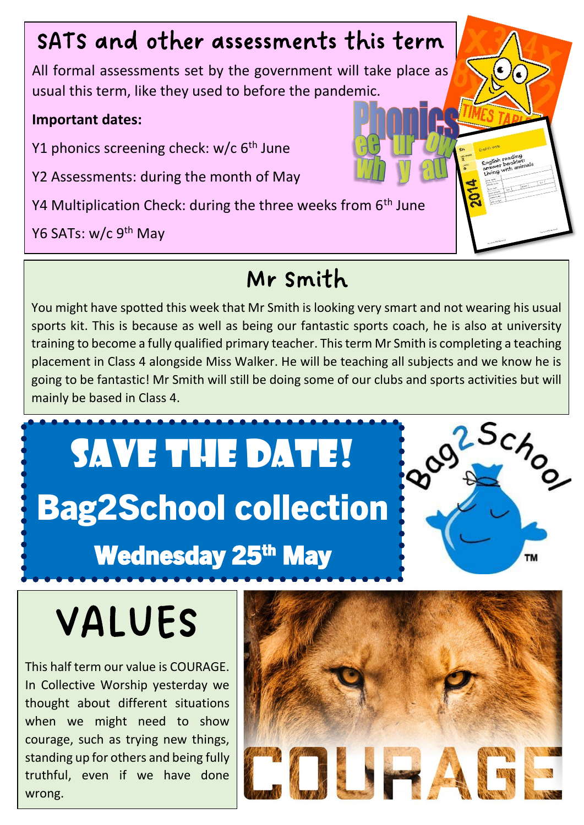#### SATS and other assessments this term

All formal assessments set by the government will take place as usual this term, like they used to before the pandemic.

#### **Important dates:**

Y1 phonics screening check:  $w/c$  6<sup>th</sup> June

Y2 Assessments: during the month of May

Y4 Multiplication Check: during the three weeks from 6<sup>th</sup> June

Y6 SATs: w/c 9<sup>th</sup> May

#### Mr Smith

You might have spotted this week that Mr Smith is looking very smart and not wearing his usual sports kit. This is because as well as being our fantastic sports coach, he is also at university training to become a fully qualified primary teacher. This term Mr Smith is completing a teaching placement in Class 4 alongside Miss Walker. He will be teaching all subjects and we know he is going to be fantastic! Mr Smith will still be doing some of our clubs and sports activities but will mainly be based in Class 4.

SAVE THE DATE! Bag2School collection

# Wednesday 25<sup>th</sup> May



# VALUES

This half term our value is COURAGE. In Collective Worship yesterday we thought about different situations when we might need to show courage, such as trying new things, standing up for others and being fully truthful, even if we have done wrong.

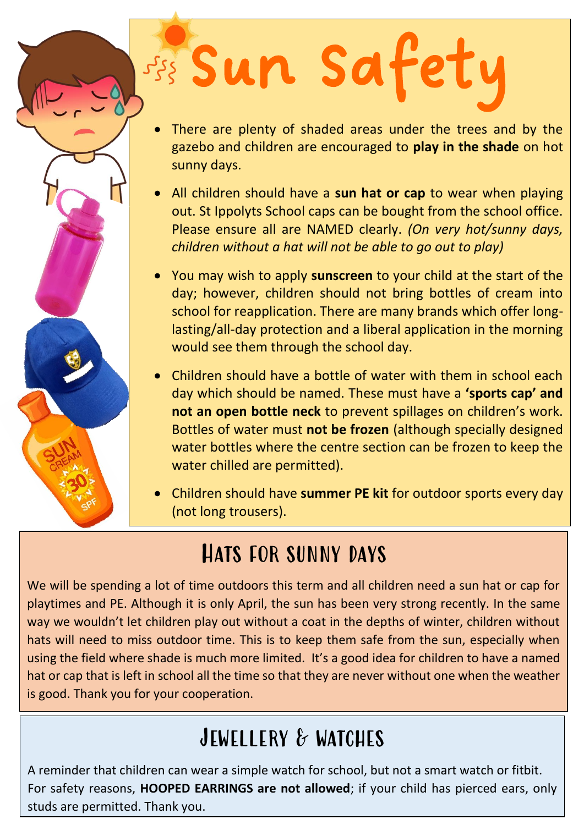# Sun Safety

- There are plenty of shaded areas under the trees and by the gazebo and children are encouraged to **play in the shade** on hot sunny days.
- All children should have a **sun hat or cap** to wear when playing out. St Ippolyts School caps can be bought from the school office. Please ensure all are NAMED clearly. *(On very hot/sunny days, children without a hat will not be able to go out to play)*
- You may wish to apply **sunscreen** to your child at the start of the day; however, children should not bring bottles of cream into school for reapplication. There are many brands which offer longlasting/all-day protection and a liberal application in the morning would see them through the school day.
- Children should have a bottle of water with them in school each day which should be named. These must have a **'sports cap' and not an open bottle neck** to prevent spillages on children's work. Bottles of water must **not be frozen** (although specially designed water bottles where the centre section can be frozen to keep the water chilled are permitted).
- Children should have **summer PE kit** for outdoor sports every day (not long trousers).

#### Hats for sunny days

We will be spending a lot of time outdoors this term and all children need a sun hat or cap for playtimes and PE. Although it is only April, the sun has been very strong recently. In the same way we wouldn't let children play out without a coat in the depths of winter, children without hats will need to miss outdoor time. This is to keep them safe from the sun, especially when using the field where shade is much more limited. It's a good idea for children to have a named hat or cap that is left in school all the time so that they are never without one when the weather is good. Thank you for your cooperation.

#### JEWELLERY & WATCHES

A reminder that children can wear a simple watch for school, but not a smart watch or fitbit. For safety reasons, **HOOPED EARRINGS are not allowed**; if your child has pierced ears, only studs are permitted. Thank you.